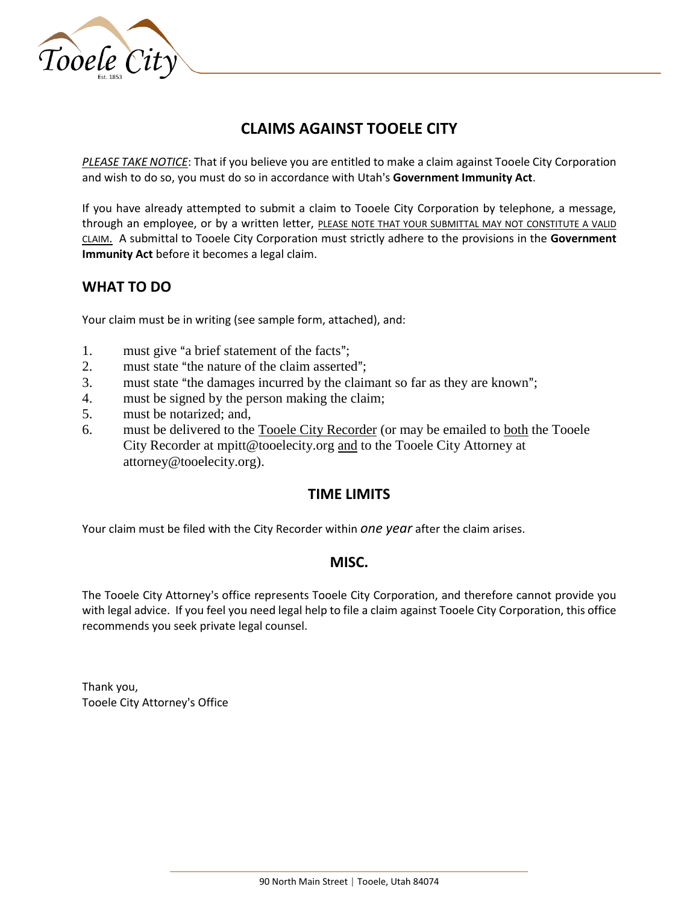

# **CLAIMS AGAINST TOOELE CITY**

*PLEASE TAKE NOTICE*: That if you believe you are entitled to make a claim against Tooele City Corporation and wish to do so, you must do so in accordance with Utah's Government Immunity Act.

If you have already attempted to submit a claim to Tooele City Corporation by telephone, a message, through an employee, or by a written letter, PLEASE NOTE THAT YOUR SUBMITTAL MAY NOT CONSTITUTE A VALID CLAIM. A submittal to Tooele City Corporation must strictly adhere to the provisions in the **Government Immunity Act** before it becomes a legal claim.

## **WHAT TO DO**

Your claim must be in writing (see sample form, attached), and:

- 1. must give "a brief statement of the facts";
- 2. must state "the nature of the claim asserted";
- 3. must state "the damages incurred by the claimant so far as they are known";
- 4. must be signed by the person making the claim;
- 5. must be notarized; and,
- 6. must be delivered to the Tooele City Recorder (or may be emailed to both the Tooele City Recorder at mpitt@tooelecity.org and to the Tooele City Attorney at attorney@tooelecity.org).

## **TIME LIMITS**

Your claim must be filed with the City Recorder within *one year* after the claim arises.

### **MISC.**

The Tooele City Attorney's office represents Tooele City Corporation, and therefore cannot provide you with legal advice. If you feel you need legal help to file a claim against Tooele City Corporation, this office recommends you seek private legal counsel.

Thank you, Tooele City Attorney's Office